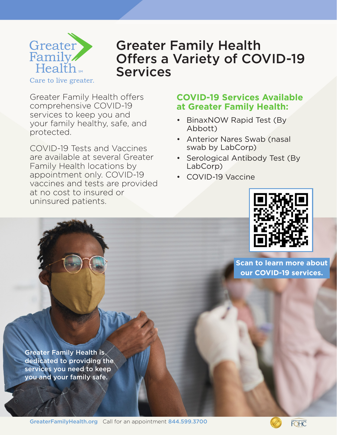

## Greater Family Health Offers a Variety of COVID-19 Services

Greater Family Health offers comprehensive COVID-19 services to keep you and your family healthy, safe, and protected.

COVID-19 Tests and Vaccines are available at several Greater Family Health locations by appointment only. COVID-19 vaccines and tests are provided at no cost to insured or uninsured patients.

## **COVID-19 Services Available at Greater Family Health:**

- BinaxNOW Rapid Test (By Abbott)
- Anterior Nares Swab (nasal swab by LabCorp)
- Serological Antibody Test (By LabCorp)
- COVID-19 Vaccine



**Scan to learn more about our COVID-19 services.**

Greater Family Health is dedicated to providing the services you need to keep you and your family safe.